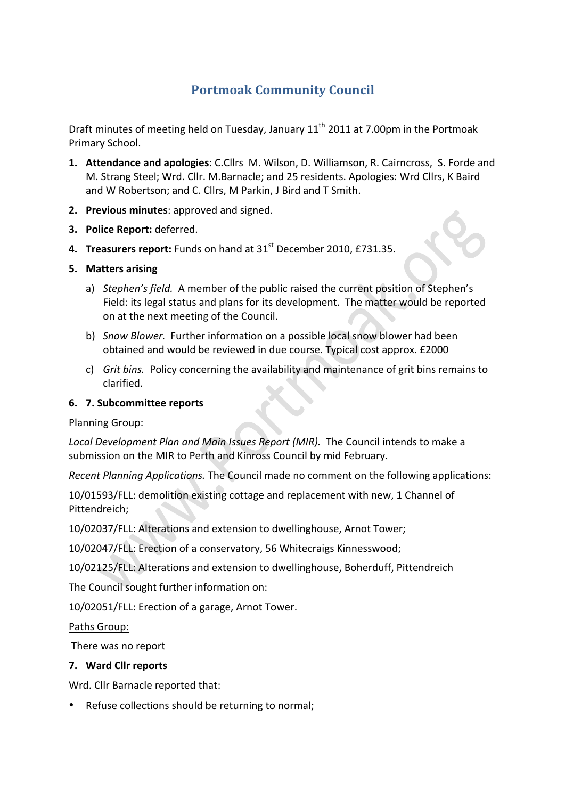# **Portmoak Community Council**

Draft minutes of meeting held on Tuesday, January 11<sup>th</sup> 2011 at 7.00pm in the Portmoak Primary School.

- **1. Attendance and apologies**: C.Cllrs M. Wilson, D. Williamson, R. Cairncross, S. Forde and M. Strang Steel; Wrd. Cllr. M.Barnacle; and 25 residents. Apologies: Wrd Cllrs, K Baird and W Robertson; and C. Cllrs, M Parkin, J Bird and T Smith.
- **2. Previous minutes: approved and signed.**
- **3. Police Report:** deferred.
- **4. Treasurers report:** Funds on hand at 31<sup>st</sup> December 2010, £731.35.

#### **5. Matters\*arising**

- a) *Stephen's field.* A member of the public raised the current position of Stephen's Field: its legal status and plans for its development. The matter would be reported on at the next meeting of the Council.
- b) *Snow Blower.* Further information on a possible local snow blower had been obtained and would be reviewed in due course. Typical cost approx. £2000
- c) *Grit bins.* Policy concerning the availability and maintenance of grit bins remains to clarified.

### **6. 7.** Subcommittee reports

#### Planning Group:

Local Development Plan and Main Issues Report (MIR). The Council intends to make a submission on the MIR to Perth and Kinross Council by mid February.

*Recent Planning Applications.* The Council made no comment on the following applications:

10/01593/FLL: demolition existing cottage and replacement with new, 1 Channel of Pittendreich;

10/02037/FLL: Alterations and extension to dwellinghouse, Arnot Tower;

10/02047/FLL: Erection of a conservatory, 56 Whitecraigs Kinnesswood;

10/02125/FLL: Alterations and extension to dwellinghouse, Boherduff, Pittendreich

The Council sought further information on:

10/02051/FLL: Erection of a garage, Arnot Tower.

Paths Group:

There was no report

## **7. Ward\*Cllr\*reports**

Wrd. Cllr Barnacle reported that:

• Refuse collections should be returning to normal;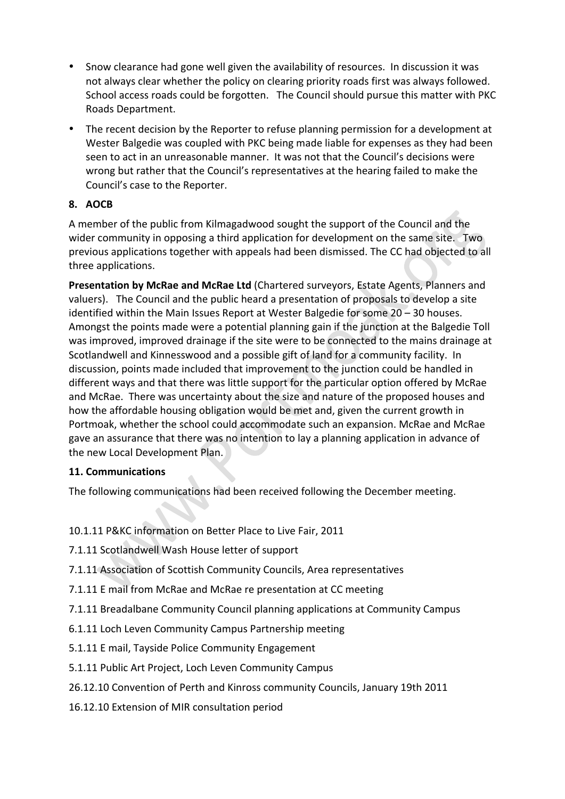- Snow clearance had gone well given the availability of resources. In discussion it was not always clear whether the policy on clearing priority roads first was always followed. School access roads could be forgotten. The Council should pursue this matter with PKC Roads!Department.
- The recent decision by the Reporter to refuse planning permission for a development at Wester Balgedie was coupled with PKC being made liable for expenses as they had been seen to act in an unreasonable manner. It was not that the Council's decisions were wrong but rather that the Council's representatives at the hearing failed to make the Council's case to the Reporter.

## **8. AOCB**

A member of the public from Kilmagadwood sought the support of the Council and the wider community in opposing a third application for development on the same site. Two previous applications together with appeals had been dismissed. The CC had objected to all three applications.

Presentation by McRae and McRae Ltd (Chartered surveyors, Estate Agents, Planners and valuers). The Council and the public heard a presentation of proposals to develop a site identified within the Main Issues Report at Wester Balgedie for some  $20 - 30$  houses. Amongst the points made were a potential planning gain if the junction at the Balgedie Toll was improved, improved drainage if the site were to be connected to the mains drainage at Scotlandwell and Kinnesswood and a possible gift of land for a community facility. In discussion, points made included that improvement to the junction could be handled in different ways and that there was little support for the particular option offered by McRae and McRae. There was uncertainty about the size and nature of the proposed houses and how the affordable housing obligation would be met and, given the current growth in Portmoak, whether the school could accommodate such an expansion. McRae and McRae gave an assurance that there was no intention to lay a planning application in advance of the new Local Development Plan.

## **11. Communications**

The following communications had been received following the December meeting.

- 10.1.11 P&KC information on Better Place to Live Fair, 2011
- 7.1.11 Scotlandwell Wash House letter of support
- 7.1.11 Association of Scottish Community Councils, Area representatives
- 7.1.11 E mail from McRae and McRae re presentation at CC meeting
- 7.1.11 Breadalbane Community Council planning applications at Community Campus
- 6.1.11 Loch Leven Community Campus Partnership meeting
- 5.1.11 E mail, Tayside Police Community Engagement
- 5.1.11 Public Art Project, Loch Leven Community Campus
- 26.12.10 Convention of Perth and Kinross community Councils, January 19th 2011
- 16.12.10 Extension of MIR consultation period